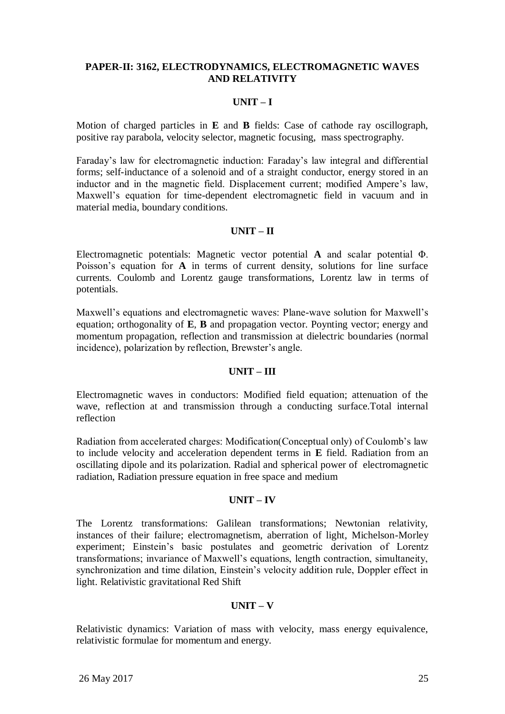## **PAPER-II: 3162, ELECTRODYNAMICS, ELECTROMAGNETIC WAVES AND RELATIVITY**

# **UNIT – I**

Motion of charged particles in **E** and **B** fields: Case of cathode ray oscillograph, positive ray parabola, velocity selector, magnetic focusing, mass spectrography.

Faraday"s law for electromagnetic induction: Faraday"s law integral and differential forms; self-inductance of a solenoid and of a straight conductor, energy stored in an inductor and in the magnetic field. Displacement current; modified Ampere's law, Maxwell"s equation for time-dependent electromagnetic field in vacuum and in material media, boundary conditions.

### **UNIT – II**

Electromagnetic potentials: Magnetic vector potential **A** and scalar potential Φ. Poisson's equation for **A** in terms of current density, solutions for line surface currents. Coulomb and Lorentz gauge transformations, Lorentz law in terms of potentials.

Maxwell"s equations and electromagnetic waves: Plane-wave solution for Maxwell"s equation; orthogonality of **E**, **B** and propagation vector. Poynting vector; energy and momentum propagation, reflection and transmission at dielectric boundaries (normal incidence), polarization by reflection, Brewster's angle.

### **UNIT – III**

Electromagnetic waves in conductors: Modified field equation; attenuation of the wave, reflection at and transmission through a conducting surface.Total internal reflection

Radiation from accelerated charges: Modification(Conceptual only) of Coulomb"s law to include velocity and acceleration dependent terms in **E** field. Radiation from an oscillating dipole and its polarization. Radial and spherical power of electromagnetic radiation, Radiation pressure equation in free space and medium

### **UNIT – IV**

The Lorentz transformations: Galilean transformations; Newtonian relativity, instances of their failure; electromagnetism, aberration of light, Michelson-Morley experiment; Einstein"s basic postulates and geometric derivation of Lorentz transformations; invariance of Maxwell"s equations, length contraction, simultaneity, synchronization and time dilation, Einstein"s velocity addition rule, Doppler effect in light. Relativistic gravitational Red Shift

### **UNIT – V**

Relativistic dynamics: Variation of mass with velocity, mass energy equivalence, relativistic formulae for momentum and energy.